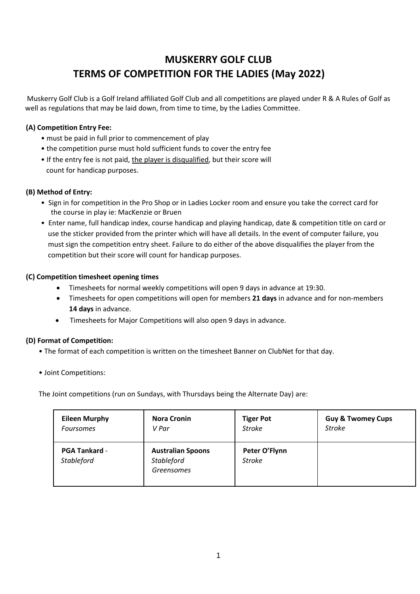# **MUSKERRY GOLF CLUB TERMS OF COMPETITION FOR THE LADIES (May 2022)**

Muskerry Golf Club is a Golf Ireland affiliated Golf Club and all competitions are played under R & A Rules of Golf as well as regulations that may be laid down, from time to time, by the Ladies Committee.

## **(A) Competition Entry Fee:**

- must be paid in full prior to commencement of play
- the competition purse must hold sufficient funds to cover the entry fee
- If the entry fee is not paid, the player is disqualified, but their score will count for handicap purposes.

#### **(B) Method of Entry:**

- Sign in for competition in the Pro Shop or in Ladies Locker room and ensure you take the correct card for the course in play ie: MacKenzie or Bruen
- Enter name, full handicap index, course handicap and playing handicap, date & competition title on card or use the sticker provided from the printer which will have all details. In the event of computer failure, you must sign the competition entry sheet. Failure to do either of the above disqualifies the player from the competition but their score will count for handicap purposes.

#### **(C) Competition timesheet opening times**

- Timesheets for normal weekly competitions will open 9 days in advance at 19:30.
- Timesheets for open competitions will open for members **21 days** in advance and for non-members **14 days** in advance.
- Timesheets for Major Competitions will also open 9 days in advance.

#### **(D) Format of Competition:**

- The format of each competition is written on the timesheet Banner on ClubNet for that day.
- Joint Competitions:

The Joint competitions (run on Sundays, with Thursdays being the Alternate Day) are:

| <b>Eileen Murphy</b>               | <b>Nora Cronin</b>                                          | <b>Tiger Pot</b>               | <b>Guy &amp; Twomey Cups</b> |
|------------------------------------|-------------------------------------------------------------|--------------------------------|------------------------------|
| <b>Foursomes</b>                   | V Par                                                       | <b>Stroke</b>                  | <b>Stroke</b>                |
| <b>PGA Tankard -</b><br>Stableford | <b>Australian Spoons</b><br>Stableford<br><b>Greensomes</b> | Peter O'Flynn<br><b>Stroke</b> |                              |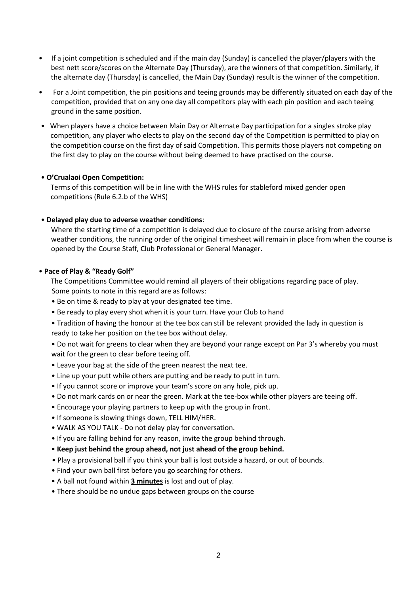- If a joint competition is scheduled and if the main day (Sunday) is cancelled the player/players with the best nett score/scores on the Alternate Day (Thursday), are the winners of that competition. Similarly, if the alternate day (Thursday) is cancelled, the Main Day (Sunday) result is the winner of the competition.
- For a Joint competition, the pin positions and teeing grounds may be differently situated on each day of the competition, provided that on any one day all competitors play with each pin position and each teeing ground in the same position.
- When players have a choice between Main Day or Alternate Day participation for a singles stroke play competition, any player who elects to play on the second day of the Competition is permitted to play on the competition course on the first day of said Competition. This permits those players not competing on the first day to play on the course without being deemed to have practised on the course.

#### • **O'Crualaoi Open Competition:**

Terms of this competition will be in line with the WHS rules for stableford mixed gender open competitions (Rule 6.2.b of the WHS)

#### • **Delayed play due to adverse weather conditions**:

Where the starting time of a competition is delayed due to closure of the course arising from adverse weather conditions, the running order of the original timesheet will remain in place from when the course is opened by the Course Staff, Club Professional or General Manager.

#### • **Pace of Play & "Ready Golf"**

The Competitions Committee would remind all players of their obligations regarding pace of play. Some points to note in this regard are as follows:

- Be on time & ready to play at your designated tee time.
- Be ready to play every shot when it is your turn. Have your Club to hand
- Tradition of having the honour at the tee box can still be relevant provided the lady in question is ready to take her position on the tee box without delay.
- Do not wait for greens to clear when they are beyond your range except on Par 3's whereby you must wait for the green to clear before teeing off.
- Leave your bag at the side of the green nearest the next tee.
- Line up your putt while others are putting and be ready to putt in turn.
- If you cannot score or improve your team's score on any hole, pick up.
- Do not mark cards on or near the green. Mark at the tee-box while other players are teeing off.
- Encourage your playing partners to keep up with the group in front.
- If someone is slowing things down, TELL HIM/HER.
- WALK AS YOU TALK Do not delay play for conversation.
- If you are falling behind for any reason, invite the group behind through.
- **Keep just behind the group ahead, not just ahead of the group behind.**
- Play a provisional ball if you think your ball is lost outside a hazard, or out of bounds.
- Find your own ball first before you go searching for others.
- A ball not found within **3 minutes** is lost and out of play.
- There should be no undue gaps between groups on the course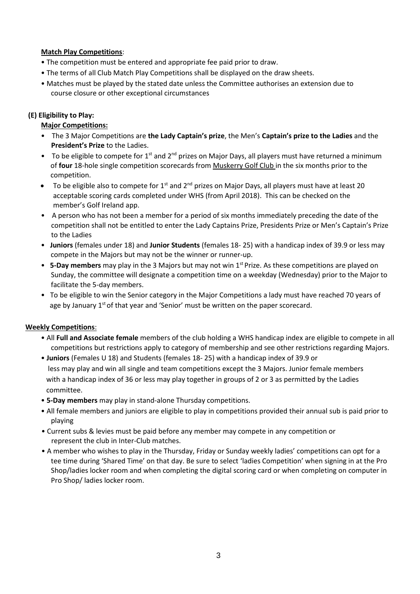## **Match Play Competitions**:

- The competition must be entered and appropriate fee paid prior to draw.
- The terms of all Club Match Play Competitions shall be displayed on the draw sheets.
- Matches must be played by the stated date unless the Committee authorises an extension due to course closure or other exceptional circumstances

## **(E) Eligibility to Play:**

## **Major Competitions:**

- The 3 Major Competitions are **the Lady Captain's prize**, the Men's **Captain's prize to the Ladies** and the **President's Prize** to the Ladies.
- To be eligible to compete for 1<sup>st</sup> and 2<sup>nd</sup> prizes on Major Days, all players must have returned a minimum of **four** 18-hole single competition scorecards from Muskerry Golf Club in the six months prior to the competition.
- To be eligible also to compete for 1<sup>st</sup> and 2<sup>nd</sup> prizes on Major Days, all players must have at least 20 acceptable scoring cards completed under WHS (from April 2018). This can be checked on the member's Golf Ireland app.
- A person who has not been a member for a period of six months immediately preceding the date of the competition shall not be entitled to enter the Lady Captains Prize, Presidents Prize or Men's Captain's Prize to the Ladies
- **Juniors** (females under 18) and **Junior Students** (females 18- 25) with a handicap index of 39.9 or less may compete in the Majors but may not be the winner or runner-up.
- **5-Day members** may play in the 3 Majors but may not win 1<sup>st</sup> Prize. As these competitions are played on Sunday, the committee will designate a competition time on a weekday (Wednesday) prior to the Major to facilitate the 5-day members.
- To be eligible to win the Senior category in the Major Competitions a lady must have reached 70 years of age by January  $1<sup>st</sup>$  of that year and 'Senior' must be written on the paper scorecard.

# **Weekly Competitions**:

- All **Full and Associate female** members of the club holding a WHS handicap index are eligible to compete in all competitions but restrictions apply to category of membership and see other restrictions regarding Majors.
- **Juniors** (Females U 18) and Students (females 18- 25) with a handicap index of 39.9 or less may play and win all single and team competitions except the 3 Majors. Junior female members with a handicap index of 36 or less may play together in groups of 2 or 3 as permitted by the Ladies committee.
- **5-Day members** may play in stand-alone Thursday competitions.
- All female members and juniors are eligible to play in competitions provided their annual sub is paid prior to playing
- Current subs & levies must be paid before any member may compete in any competition or represent the club in Inter-Club matches.
- A member who wishes to play in the Thursday, Friday or Sunday weekly ladies' competitions can opt for a tee time during 'Shared Time' on that day. Be sure to select 'ladies Competition' when signing in at the Pro Shop/ladies locker room and when completing the digital scoring card or when completing on computer in Pro Shop/ ladies locker room.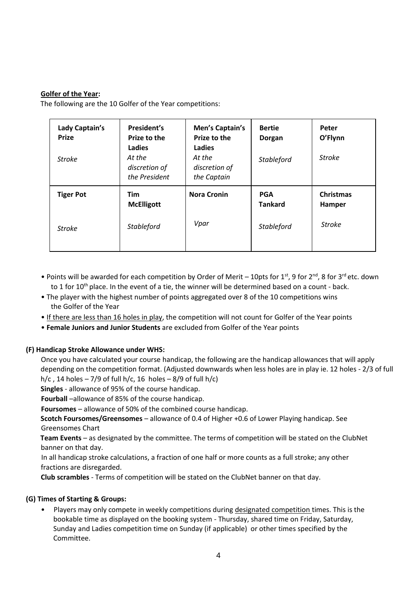## **Golfer of the Year:**

The following are the 10 Golfer of the Year competitions:

| Lady Captain's<br><b>Prize</b><br><b>Stroke</b> | President's<br>Prize to the<br>Ladies<br>At the<br>discretion of<br>the President | Men's Captain's<br>Prize to the<br>Ladies<br>At the<br>discretion of<br>the Captain | <b>Bertie</b><br>Dorgan<br>Stableford             | Peter<br>O'Flynn<br><b>Stroke</b>           |
|-------------------------------------------------|-----------------------------------------------------------------------------------|-------------------------------------------------------------------------------------|---------------------------------------------------|---------------------------------------------|
| <b>Tiger Pot</b><br><b>Stroke</b>               | <b>Tim</b><br><b>McElligott</b><br>Stableford                                     | <b>Nora Cronin</b><br>Vpar                                                          | <b>PGA</b><br><b>Tankard</b><br><b>Stableford</b> | <b>Christmas</b><br>Hamper<br><b>Stroke</b> |
|                                                 |                                                                                   |                                                                                     |                                                   |                                             |

- Points will be awarded for each competition by Order of Merit 10pts for 1<sup>st</sup>, 9 for 2<sup>nd</sup>, 8 for 3<sup>rd</sup> etc. down to 1 for  $10^{th}$  place. In the event of a tie, the winner will be determined based on a count - back.
- The player with the highest number of points aggregated over 8 of the 10 competitions wins the Golfer of the Year
- If there are less than 16 holes in play, the competition will not count for Golfer of the Year points
- **Female Juniors and Junior Students** are excluded from Golfer of the Year points

#### **(F) Handicap Stroke Allowance under WHS:**

Once you have calculated your course handicap, the following are the handicap allowances that will apply depending on the competition format. (Adjusted downwards when less holes are in play ie. 12 holes - 2/3 of full h/c, 14 holes  $-7/9$  of full h/c, 16 holes  $-8/9$  of full h/c)

**Singles** - allowance of 95% of the course handicap.

**Fourball** –allowance of 85% of the course handicap.

**Foursomes** – allowance of 50% of the combined course handicap.

**Scotch Foursomes/Greensomes** – allowance of 0.4 of Higher +0.6 of Lower Playing handicap. See Greensomes Chart

**Team Events** – as designated by the committee. The terms of competition will be stated on the ClubNet banner on that day.

In all handicap stroke calculations, a fraction of one half or more counts as a full stroke; any other fractions are disregarded.

**Club scrambles** - Terms of competition will be stated on the ClubNet banner on that day.

#### **(G) Times of Starting & Groups:**

• Players may only compete in weekly competitions during designated competition times. This is the bookable time as displayed on the booking system - Thursday, shared time on Friday, Saturday, Sunday and Ladies competition time on Sunday (if applicable) or other times specified by the Committee.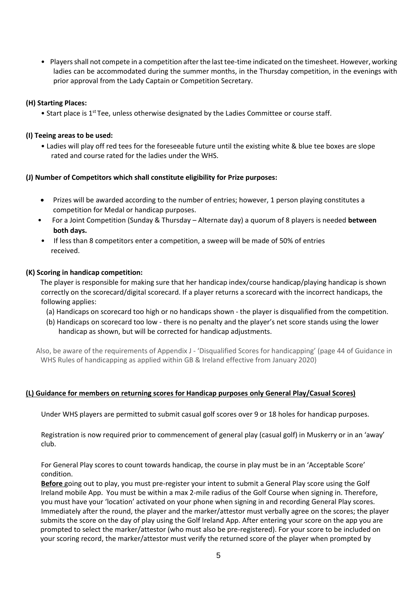• Players shall not compete in a competition after the last tee-time indicated on the timesheet. However, working ladies can be accommodated during the summer months, in the Thursday competition, in the evenings with prior approval from the Lady Captain or Competition Secretary.

#### **(H) Starting Places:**

• Start place is 1<sup>st</sup> Tee, unless otherwise designated by the Ladies Committee or course staff.

#### **(I) Teeing areas to be used:**

• Ladies will play off red tees for the foreseeable future until the existing white & blue tee boxes are slope rated and course rated for the ladies under the WHS.

#### **(J) Number of Competitors which shall constitute eligibility for Prize purposes:**

- Prizes will be awarded according to the number of entries; however, 1 person playing constitutes a competition for Medal or handicap purposes.
- For a Joint Competition (Sunday & Thursday Alternate day) a quorum of 8 players is needed **between both days.**
- If less than 8 competitors enter a competition, a sweep will be made of 50% of entries received.

#### **(K) Scoring in handicap competition:**

The player is responsible for making sure that her handicap index/course handicap/playing handicap is shown correctly on the scorecard/digital scorecard. If a player returns a scorecard with the incorrect handicaps, the following applies:

- (a) Handicaps on scorecard too high or no handicaps shown the player is disqualified from the competition.
- (b) Handicaps on scorecard too low there is no penalty and the player's net score stands using the lower handicap as shown, but will be corrected for handicap adjustments.

 Also, be aware of the requirements of Appendix J - 'Disqualified Scores for handicapping' (page 44 of Guidance in WHS Rules of handicapping as applied within GB & Ireland effective from January 2020)

#### **(L) Guidance for members on returning scores for Handicap purposes only General Play/Casual Scores)**

Under WHS players are permitted to submit casual golf scores over 9 or 18 holes for handicap purposes.

Registration is now required prior to commencement of general play (casual golf) in Muskerry or in an 'away' club.

For General Play scores to count towards handicap, the course in play must be in an 'Acceptable Score' condition.

**Before** going out to play, you must pre-register your intent to submit a General Play score using the Golf Ireland mobile App. You must be within a max 2-mile radius of the Golf Course when signing in. Therefore, you must have your 'location' activated on your phone when signing in and recording General Play scores. Immediately after the round, the player and the marker/attestor must verbally agree on the scores; the player submits the score on the day of play using the Golf Ireland App. After entering your score on the app you are prompted to select the marker/attestor (who must also be pre-registered). For your score to be included on your scoring record, the marker/attestor must verify the returned score of the player when prompted by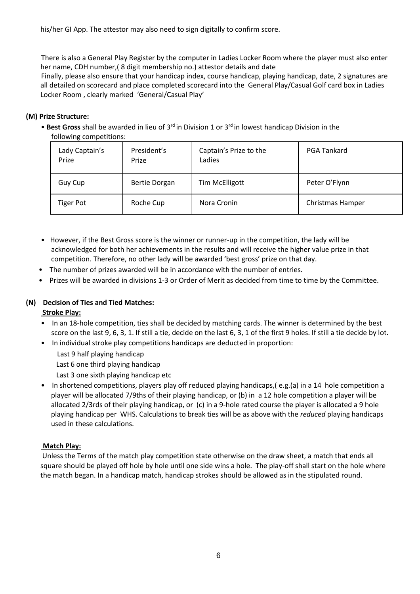his/her GI App. The attestor may also need to sign digitally to confirm score.

There is also a General Play Register by the computer in Ladies Locker Room where the player must also enter her name, CDH number,( 8 digit membership no.) attestor details and date

Finally, please also ensure that your handicap index, course handicap, playing handicap, date, 2 signatures are all detailed on scorecard and place completed scorecard into the General Play/Casual Golf card box in Ladies Locker Room , clearly marked 'General/Casual Play'

## **(M) Prize Structure:**

• **Best Gross** shall be awarded in lieu of 3rd in Division 1 or 3rd in lowest handicap Division in the following competitions:

| Lady Captain's<br>Prize | President's<br>Prize | Captain's Prize to the<br>Ladies | <b>PGA Tankard</b> |
|-------------------------|----------------------|----------------------------------|--------------------|
| Guy Cup                 | <b>Bertie Dorgan</b> | <b>Tim McElligott</b>            | Peter O'Flynn      |
| <b>Tiger Pot</b>        | Roche Cup            | Nora Cronin                      | Christmas Hamper   |

- However, if the Best Gross score is the winner or runner-up in the competition, the lady will be acknowledged for both her achievements in the results and will receive the higher value prize in that competition. Therefore, no other lady will be awarded 'best gross' prize on that day.
- The number of prizes awarded will be in accordance with the number of entries.
- Prizes will be awarded in divisions 1-3 or Order of Merit as decided from time to time by the Committee.

# **(N) Decision of Ties and Tied Matches:**

#### **Stroke Play:**

- In an 18-hole competition, ties shall be decided by matching cards. The winner is determined by the best score on the last 9, 6, 3, 1. If still a tie, decide on the last 6, 3, 1 of the first 9 holes. If still a tie decide by lot.
- In individual stroke play competitions handicaps are deducted in proportion:
	- Last 9 half playing handicap
	- Last 6 one third playing handicap
	- Last 3 one sixth playing handicap etc
- In shortened competitions, players play off reduced playing handicaps,( e.g.(a) in a 14 hole competition a player will be allocated 7/9ths of their playing handicap, or (b) in a 12 hole competition a player will be allocated 2/3rds of their playing handicap, or (c) in a 9-hole rated course the player is allocated a 9 hole playing handicap per WHS. Calculations to break ties will be as above with the *reduced* playing handicaps used in these calculations.

#### **Match Play:**

Unless the Terms of the match play competition state otherwise on the draw sheet, a match that ends all square should be played off hole by hole until one side wins a hole. The play-off shall start on the hole where the match began. In a handicap match, handicap strokes should be allowed as in the stipulated round.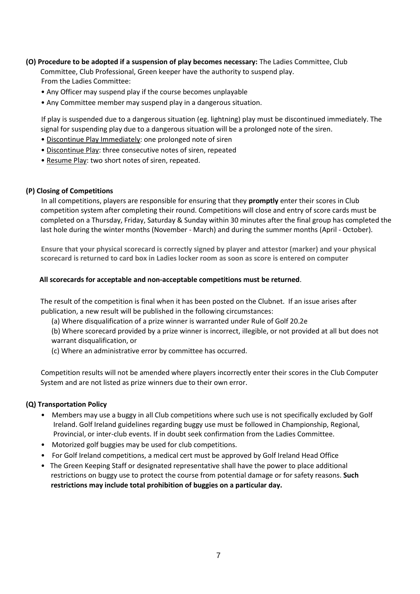- **(O) Procedure to be adopted if a suspension of play becomes necessary:** The Ladies Committee, Club Committee, Club Professional, Green keeper have the authority to suspend play. From the Ladies Committee:
	- Any Officer may suspend play if the course becomes unplayable
	- Any Committee member may suspend play in a dangerous situation.

If play is suspended due to a dangerous situation (eg. lightning) play must be discontinued immediately. The signal for suspending play due to a dangerous situation will be a prolonged note of the siren.

- Discontinue Play Immediately: one prolonged note of siren
- Discontinue Play: three consecutive notes of siren, repeated
- Resume Play: two short notes of siren, repeated.

#### **(P) Closing of Competitions**

In all competitions, players are responsible for ensuring that they **promptly** enter their scores in Club competition system after completing their round. Competitions will close and entry of score cards must be completed on a Thursday, Friday, Saturday & Sunday within 30 minutes after the final group has completed the last hole during the winter months (November - March) and during the summer months (April - October).

**Ensure that your physical scorecard is correctly signed by player and attestor (marker) and your physical scorecard is returned to card box in Ladies locker room as soon as score is entered on computer**

#### **All scorecards for acceptable and non-acceptable competitions must be returned**.

The result of the competition is final when it has been posted on the Clubnet. If an issue arises after publication, a new result will be published in the following circumstances:

(a) Where disqualification of a prize winner is warranted under Rule of Golf 20.2e

(b) Where scorecard provided by a prize winner is incorrect, illegible, or not provided at all but does not warrant disqualification, or

(c) Where an administrative error by committee has occurred.

Competition results will not be amended where players incorrectly enter their scores in the Club Computer System and are not listed as prize winners due to their own error.

#### **(Q) Transportation Policy**

- Members may use a buggy in all Club competitions where such use is not specifically excluded by Golf Ireland. Golf Ireland guidelines regarding buggy use must be followed in Championship, Regional, Provincial, or inter-club events. If in doubt seek confirmation from the Ladies Committee.
- Motorized golf buggies may be used for club competitions.
- For Golf Ireland competitions, a medical cert must be approved by Golf Ireland Head Office
- The Green Keeping Staff or designated representative shall have the power to place additional restrictions on buggy use to protect the course from potential damage or for safety reasons. **Such restrictions may include total prohibition of buggies on a particular day.**